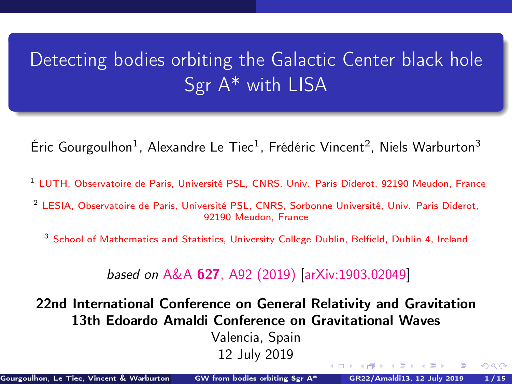# <span id="page-0-0"></span>Detecting bodies orbiting the Galactic Center black hole Sgr A\* with LISA

Éric Gourgoulhon<sup>1</sup>, Alexandre Le Tiec<sup>1</sup>, Frédéric Vincent<sup>2</sup>, Niels Warburton<sup>3</sup>

- <sup>1</sup> [LUTH, Observatoire de Paris, Université PSL, CNRS, Univ. Paris Diderot, 92190 Meudon, France](https://luth.obspm.fr)
- <sup>2</sup> [LESIA, Observatoire de Paris, Université PSL, CNRS, Sorbonne Université, Univ. Paris Diderot,](https://lesia.obspm.fr) [92190 Meudon, France](https://lesia.obspm.fr)

<sup>3</sup> [School of Mathematics and Statistics, University College Dublin, Belfield, Dublin 4, Ireland](http://www.ucd.ie/)

#### based on A&A 627[, A92 \(2019\)](https://doi.org/10.1051/0004-6361/201935406) [\[arXiv:1903.02049\]](https://arxiv.org/abs/1903.02049)

22nd International Conference on General Relativity and Gravitation 13th Edoardo Amaldi Conference on Gravitational Waves

> Valencia, Spain 12 July 2019

 $(1, 1)$   $(1, 1)$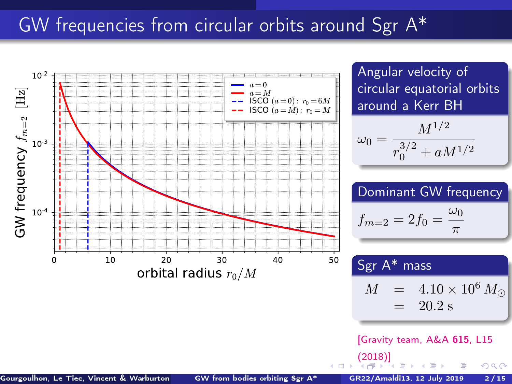# <span id="page-1-0"></span>GW frequencies from circular orbits around Sgr A\*

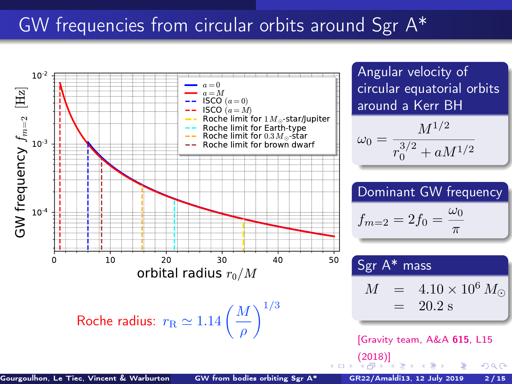# <span id="page-2-0"></span>GW frequencies from circular orbits around Sgr A\*

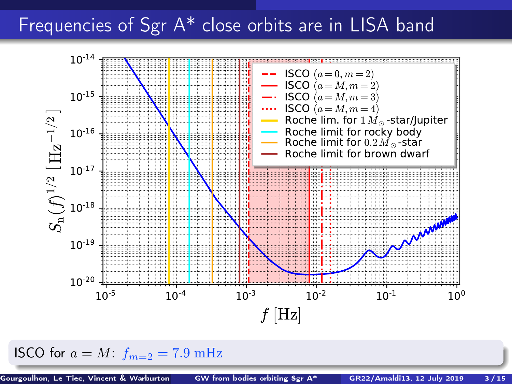# <span id="page-3-0"></span>Frequencies of Sgr A\* close orbits are in LISA band



ISCO for  $a = M$ :  $f_{m=2} = 7.9$  mHz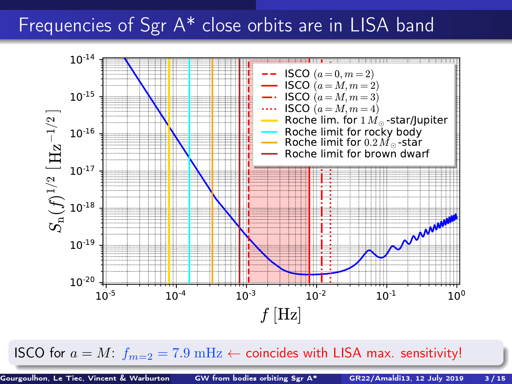# <span id="page-4-0"></span>Frequencies of Sgr A<sup>\*</sup> close orbits are in LISA band



ISCO for  $a = M$  $a = M$ :  $f_{m=2} = 7.9 \text{ mHz} \leftarrow$  $f_{m=2} = 7.9 \text{ mHz} \leftarrow$  $f_{m=2} = 7.9 \text{ mHz} \leftarrow$  coincides wit[h L](#page-3-0)I[SA](#page-5-0) ma[x.](#page-0-0) [sen](#page-22-0)[sit](#page-0-0)[ivi](#page-22-0)[ty!](#page-0-0)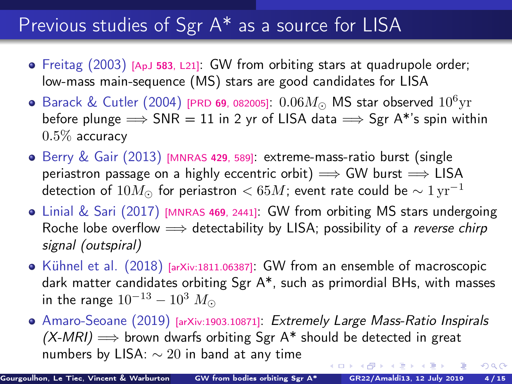# <span id="page-5-0"></span>Previous studies of Sgr A\* as a source for LISA

- Freitag (2003) [ApJ 583[, L21\]](https://doi.org/10.1086/367813): GW from orbiting stars at quadrupole order; low-mass main-sequence (MS) stars are good candidates for LISA
- Barack & Cutler (2004) [PRD 69[, 082005\]](https://doi.org/10.1103/PhysRevD.69.082005):  $0.06M_{\odot}$  MS star observed  $10^6{\rm yr}$ before plunge  $\Rightarrow$  SNR = 11 in 2 yr of LISA data  $\Rightarrow$  Sgr A\*'s spin within  $0.5\%$  accuracy
- $\bullet$  Berry & Gair (2013) [\[MNRAS](https://doi.org/10.1093/mnras/sts360) 429, 589]: extreme-mass-ratio burst (single periastron passage on a highly eccentric orbit)  $\implies$  GW burst  $\implies$  LISA detection of  $10M_{\odot}$  for periastron  $< 65M$ ; event rate could be  $\sim 1 \,\mathrm{yr}^{-1}$
- Linial & Sari (2017) [\[MNRAS](https://doi.org/10.1093/mnras/stx1041) <sup>469</sup>, 2441]: GW from orbiting MS stars undergoing Roche lobe overflow  $\implies$  detectability by LISA; possibility of a reverse chirp signal (outspiral)
- Kühnel et al.  $(2018)$  [\[arXiv:1811.06387\]](https://arxiv.org/abs/1811.06387): GW from an ensemble of macroscopic dark matter candidates orbiting Sgr A\*, such as primordial BHs, with masses in the range  $10^{-13} - 10^3$   $M_{\odot}$
- Amaro-Seoane (2019) [\[arXiv:1903.10871\]](https://arxiv.org/abs/1903.10871): Extremely Large Mass-Ratio Inspirals  $(X-MRI) \Longrightarrow$  brown dwarfs orbiting Sgr A\* should be detected in great numbers by LISA:  $\sim 20$  in band at any time  $290$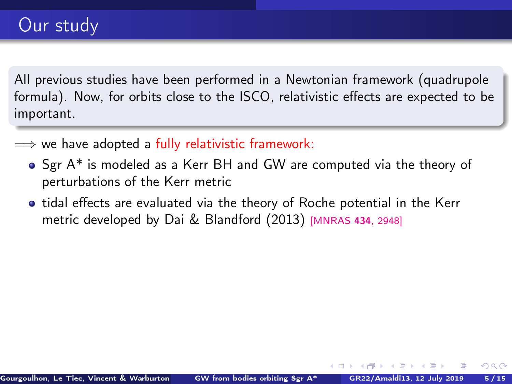All previous studies have been performed in a Newtonian framework (quadrupole formula). Now, for orbits close to the ISCO, relativistic effects are expected to be important.

- $\implies$  we have adopted a fully relativistic framework:
	- Sgr A\* is modeled as a Kerr BH and GW are computed via the theory of perturbations of the Kerr metric
	- **•** tidal effects are evaluated via the theory of Roche potential in the Kerr metric developed by Dai & Blandford (2013) [\[MNRAS](https://doi.org/10.1093/mnras/stt1209) <sup>434</sup>, 2948]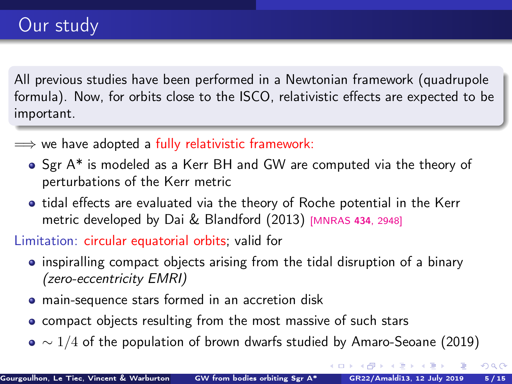All previous studies have been performed in a Newtonian framework (quadrupole formula). Now, for orbits close to the ISCO, relativistic effects are expected to be important.

- $\implies$  we have adopted a fully relativistic framework:
	- Sgr A\* is modeled as a Kerr BH and GW are computed via the theory of perturbations of the Kerr metric
	- tidal effects are evaluated via the theory of Roche potential in the Kerr metric developed by Dai & Blandford (2013) [\[MNRAS](https://doi.org/10.1093/mnras/stt1209) <sup>434</sup>, 2948]

Limitation: circular equatorial orbits; valid for

- inspiralling compact objects arising from the tidal disruption of a binary (zero-eccentricity EMRI)
- main-sequence stars formed in an accretion disk
- compact objects resulting from the most massive of such stars
- $\bullet \sim 1/4$  of the population of brown dwarfs studied by Amaro-Seoane (2019)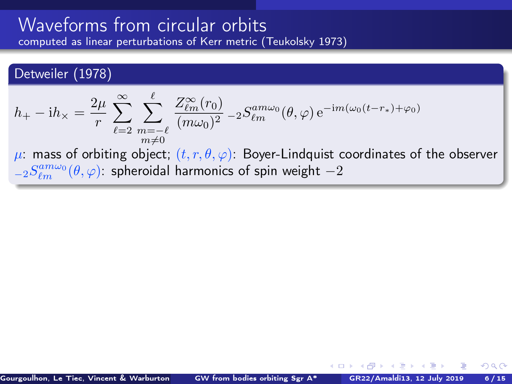#### <span id="page-8-0"></span>Detweiler (1978)

$$
h_+ - \mathrm{i}h_\times = \frac{2\mu}{r} \sum_{\ell=2}^{\infty} \sum_{\substack{m=-\ell \\ m\neq 0}}^{\ell} \frac{Z_{\ell m}^{\infty}(r_0)}{(m\omega_0)^2} - 2S_{\ell m}^{am\omega_0}(\theta, \varphi) e^{-\mathrm{i}m(\omega_0(t-r_*)+\varphi_0)}
$$

 $\mu$ : mass of orbiting object;  $(t, r, \theta, \varphi)$ : Boyer-Lindquist coordinates of the observer  ${}_{-2}S_{\ell m}^{am\omega_{0}}(\theta,\varphi)$ : spheroidal harmonics of spin weight  $-2$ 

 $\leftarrow$   $\leftarrow$   $\leftarrow$   $\leftarrow$   $\leftarrow$   $\leftarrow$   $\leftarrow$   $\leftarrow$   $\leftarrow$   $\leftarrow$   $\leftarrow$   $\leftarrow$   $\leftarrow$   $\leftarrow$   $\leftarrow$   $\leftarrow$   $\leftarrow$   $\leftarrow$   $\leftarrow$   $\leftarrow$   $\leftarrow$   $\leftarrow$   $\leftarrow$   $\leftarrow$   $\leftarrow$   $\leftarrow$   $\leftarrow$   $\leftarrow$   $\leftarrow$   $\leftarrow$   $\leftarrow$   $\leftarrow$   $\leftarrow$   $\leftarrow$   $\leftarrow$   $\leftarrow$   $\leftarrow$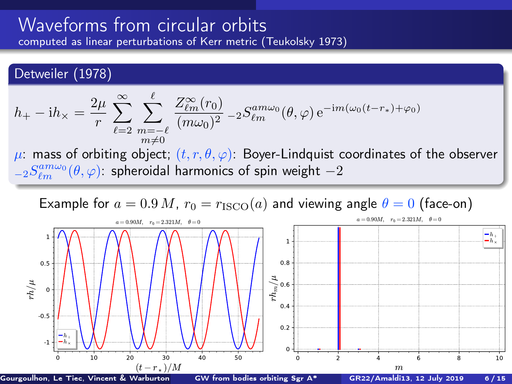#### <span id="page-9-0"></span>Detweiler (1978)

$$
h_+ - \mathrm{i}h_\times = \frac{2\mu}{r} \sum_{\ell=2}^\infty \sum_{\substack{m=-\ell\\m\neq 0}}^\ell \frac{Z_{\ell m}^\infty(r_0)}{(m\omega_0)^2} - 2S_{\ell m}^{am\omega_0}(\theta,\varphi) e^{-\mathrm{i}m(\omega_0(t-r_*)+\varphi_0)}
$$

 $\mu$ : mass of orbiting object;  $(t, r, \theta, \varphi)$ : Boyer-Lindquist coordinates of the observer  ${}_{-2}S_{\ell m}^{am\omega_{0}}(\theta,\varphi)$ : spheroidal harmonics of spin weight  $-2$ 

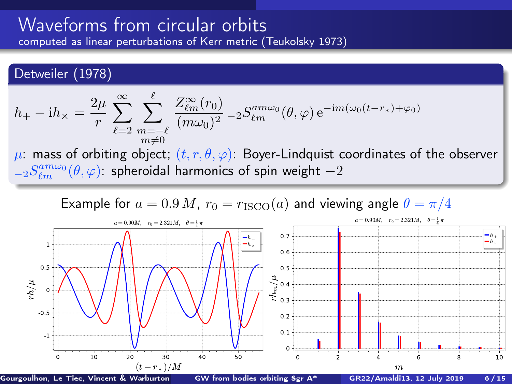#### Detweiler (1978)

$$
h_+ - \mathrm{i}h_\times = \frac{2\mu}{r} \sum_{\ell=2}^\infty \sum_{\substack{m=-\ell\\m\neq 0}}^\ell \frac{Z_{\ell m}^\infty(r_0)}{(m\omega_0)^2} - 2S_{\ell m}^{am\omega_0}(\theta,\varphi) e^{-\mathrm{i}m(\omega_0(t-r_*)+\varphi_0)}
$$

 $\mu$ : mass of orbiting object;  $(t, r, \theta, \varphi)$ : Boyer-Lindquist coordinates of the observer  ${}_{-2}S_{\ell m}^{am\omega_{0}}(\theta,\varphi)$ : spheroidal harmonics of spin weight  $-2$ 

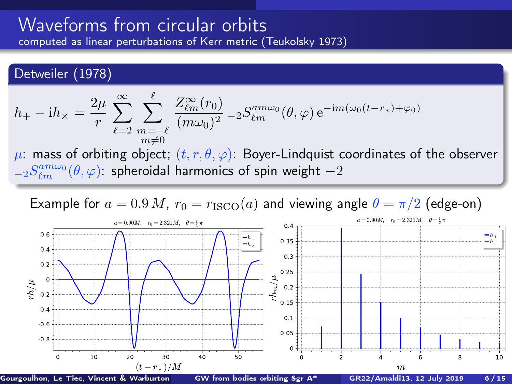#### <span id="page-11-0"></span>Detweiler (1978)

$$
h_+ - \mathrm{i}h_\times = \frac{2\mu}{r} \sum_{\ell=2}^\infty \sum_{\substack{m=-\ell\\m\neq 0}}^\ell \frac{Z_{\ell m}^\infty(r_0)}{(m\omega_0)^2} - 2S_{\ell m}^{am\omega_0}(\theta,\varphi) e^{-\mathrm{i}m(\omega_0(t-r_*)+\varphi_0)}
$$

 $\mu$ : mass of orbiting object;  $(t, r, \theta, \varphi)$ : Boyer-Lindquist coordinates of the observer  ${}_{-2}S_{\ell m}^{am\omega_{0}}(\theta,\varphi)$ : spheroidal harmonics of spin weight  $-2$ 

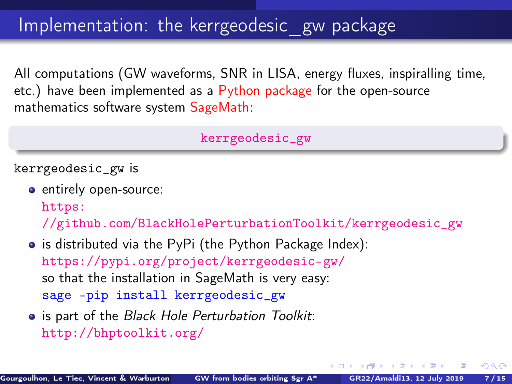# <span id="page-12-0"></span>Implementation: the kerrgeodesic gw package

All computations (GW waveforms, SNR in LISA, energy fluxes, inspiralling time, etc.) have been implemented as a Python package for the open-source mathematics software system SageMath:

[kerrgeodesic\\_gw](https://pypi.org/project/kerrgeodesic-gw/)

kerrgeodesic\_gw is

- entirely open-source: [https:](https://github.com/BlackHolePerturbationToolkit/kerrgeodesic_gw) [//github.com/BlackHolePerturbationToolkit/kerrgeodesic\\_gw](https://github.com/BlackHolePerturbationToolkit/kerrgeodesic_gw)
- is distributed via the PyPi (the Python Package Index): <https://pypi.org/project/kerrgeodesic-gw/> so that the installation in SageMath is very easy: sage -pip install kerrgeodesic\_gw
- **•** is part of the Black Hole Perturbation Toolkit: <http://bhptoolkit.org/>

4 0 8 4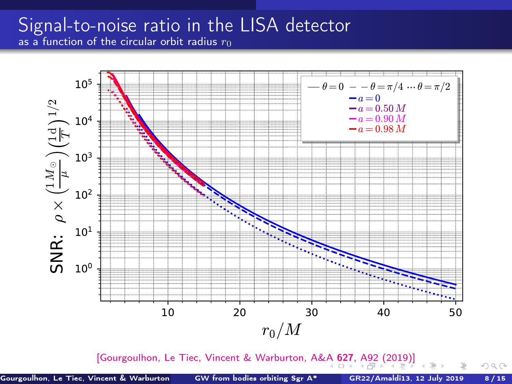### <span id="page-13-0"></span>Signal-to-noise ratio in the LISA detector as a function of the circular orbit radius  $r_0$



[\[Gourgoulhon, Le Tiec, Vincent & Warburton, A&A](https://doi.org/10.1051/0004-6361/201935406) 6[27](#page-14-0), [A](#page-12-0)[9](#page-13-0)[2](#page-14-0) [\(](#page-15-0)[201](#page-0-0)[9\)\]](#page-22-0)

 $QQ$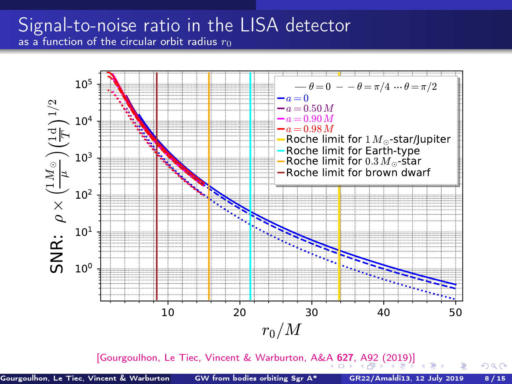### <span id="page-14-0"></span>Signal-to-noise ratio in the LISA detector as a function of the circular orbit radius  $r_0$



[\[Gourgoulhon, Le Tiec, Vincent & Warburton, A&A](https://doi.org/10.1051/0004-6361/201935406) 6[27](#page-15-0), [A](#page-12-0)[9](#page-13-0)[2](#page-14-0) [\(](#page-15-0)[201](#page-0-0)[9\)\]](#page-22-0)

 $QQ$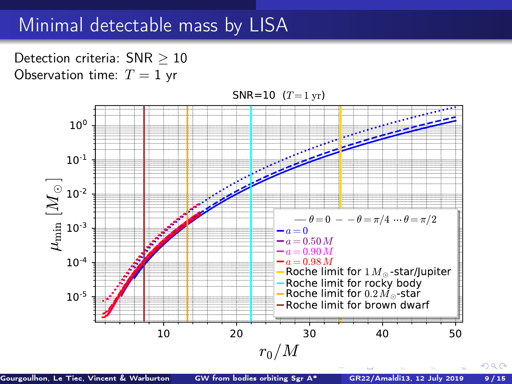## <span id="page-15-0"></span>Minimal detectable mass by LISA

Detection criteria: SNR > 10 Observation time:  $T = 1$  yr



Gourgoulhon, Le Tiec, Vincent & Warburton ([GW from bodies orbiting Sgr A\\*](#page-0-0) GR22/Amaldi13, 12 July 2019 9/15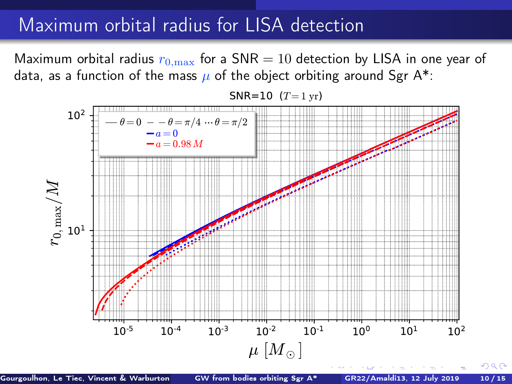# Maximum orbital radius for LISA detection

Maximum orbital radius  $r_{0,\text{max}}$  for a SNR = 10 detection by LISA in one year of data, as a function of the mass  $\mu$  of the object orbiting around Sgr A\*:





Gourgoulhon, Le Tiec, Vincent & Warburton [GW from bodies orbiting Sgr A\\*](#page-0-0) GR22/Amaldi13, 12 July 2019 10/15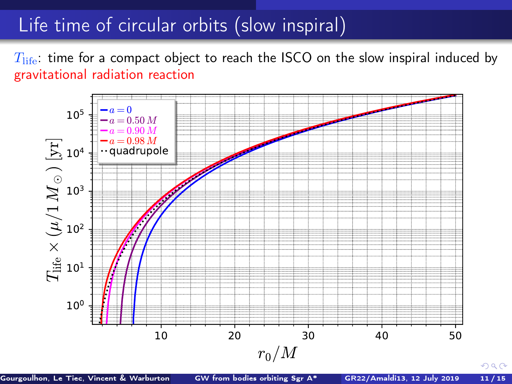# Life time of circular orbits (slow inspiral)

 $T_{\text{life}}$ : time for a compact object to reach the ISCO on the slow inspiral induced by gravitational radiation reaction



Gourgoulhon, Le Tiec, Vincent & Warburton ([GW from bodies orbiting Sgr A\\*](#page-0-0) GR22/Amaldi13, 12 July 2019 11/15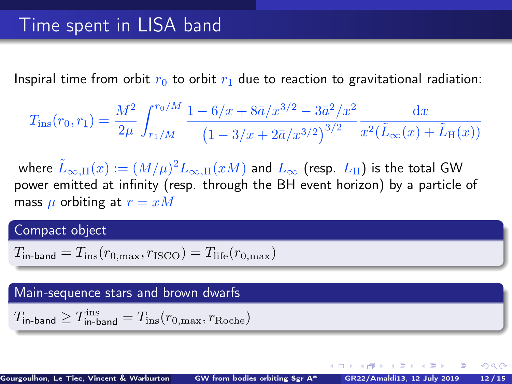Inspiral time from orbit  $r_0$  to orbit  $r_1$  due to reaction to gravitational radiation:

$$
T_{\rm ins}(r_0,r_1) = \frac{M^2}{2\mu} \int_{r_1/M}^{r_0/M} \frac{1 - 6/x + 8\bar{a}/x^{3/2} - 3\bar{a}^2/x^2}{\left(1 - 3/x + 2\bar{a}/x^{3/2}\right)^{3/2}} \frac{\mathrm{d}x}{x^2(\tilde{L}_{\infty}(x) + \tilde{L}_{\rm H}(x))}
$$

where  $\tilde L_{\infty,\mathrm{H}}(x):=(M/\mu)^2 L_{\infty,\mathrm{H}}(xM)$  and  $L_\infty$  (resp.  $L_\mathrm{H}$ ) is the total GW power emitted at infinity (resp. through the BH event horizon) by a particle of mass  $\mu$  orbiting at  $r = xM$ 

#### Compact object

$$
T_{\text{in-band}} = T_{\text{ins}}(r_{0,\text{max}}, r_{\text{ISCO}}) = T_{\text{life}}(r_{0,\text{max}})
$$

#### Main-sequence stars and brown dwarfs

$$
T_{\rm in\text{-}band} \geq T_{\rm in\text{-}band}^{\rm ins} = T_{\rm ins}(r_{\rm 0,max}, r_{\rm Roche})
$$

 $\leftarrow$   $\leftarrow$   $\leftarrow$   $\leftarrow$   $\leftarrow$   $\leftarrow$   $\leftarrow$   $\leftarrow$   $\leftarrow$   $\leftarrow$   $\leftarrow$   $\leftarrow$   $\leftarrow$   $\leftarrow$   $\leftarrow$   $\leftarrow$   $\leftarrow$   $\leftarrow$   $\leftarrow$   $\leftarrow$   $\leftarrow$   $\leftarrow$   $\leftarrow$   $\leftarrow$   $\leftarrow$   $\leftarrow$   $\leftarrow$   $\leftarrow$   $\leftarrow$   $\leftarrow$   $\leftarrow$   $\leftarrow$   $\leftarrow$   $\leftarrow$   $\leftarrow$   $\leftarrow$   $\leftarrow$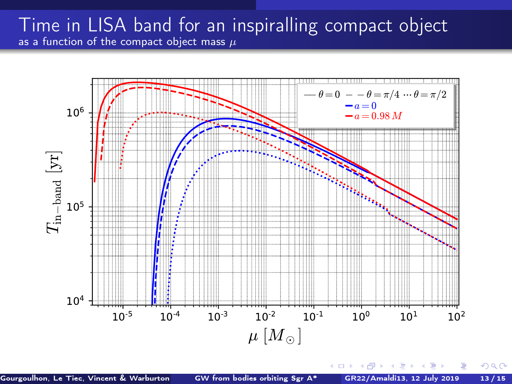### Time in LISA band for an inspiralling compact object as a function of the compact object mass  $\mu$

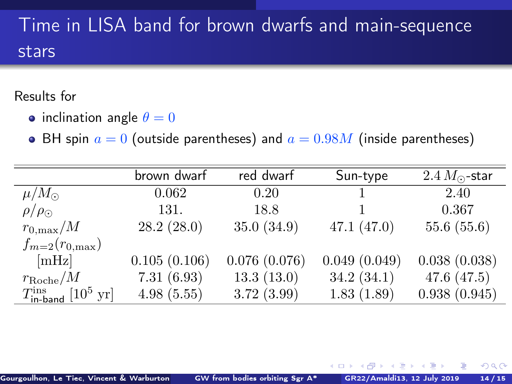# Time in LISA band for brown dwarfs and main-sequence stars

### Results for

- inclination angle  $\theta = 0$
- BH spin  $a = 0$  (outside parentheses) and  $a = 0.98M$  (inside parentheses)

|                                                        | brown dwarf  | red dwarf    | Sun-type     | $2.4 M_{\odot}$ -star |
|--------------------------------------------------------|--------------|--------------|--------------|-----------------------|
| $\mu/M_{\odot}$                                        | 0.062        | 0.20         |              | 2.40                  |
| $\rho/\rho_{\odot}$                                    | 131.         | 18.8         |              | 0.367                 |
| $r_{0,\text{max}}/M$                                   | 28.2(28.0)   | 35.0(34.9)   | 47.1(47.0)   | 55.6(55.6)            |
| $f_{m=2}(r_{0,\text{max}})$                            |              |              |              |                       |
| [mHz]                                                  | 0.105(0.106) | 0.076(0.076) | 0.049(0.049) | 0.038(0.038)          |
| $r_{\rm Roche}/M$                                      | 7.31(6.93)   | 13.3(13.0)   | 34.2(34.1)   | 47.6 $(47.5)$         |
| $T_{\text{in-band}}^{\text{ins}}$ [10 <sup>5</sup> yr] | 4.98(5.55)   | 3.72(3.99)   | 1.83(1.89)   | 0.938(0.945)          |

 $-0.173 - 0.025$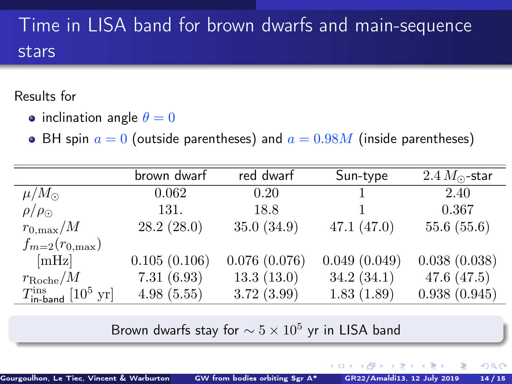# Time in LISA band for brown dwarfs and main-sequence stars

### Results for

- inclination angle  $\theta = 0$
- BH spin  $a = 0$  (outside parentheses) and  $a = 0.98M$  (inside parentheses)

|                                                        | brown dwarf  | red dwarf    | Sun-type     | $2.4 M_{\odot}$ -star |
|--------------------------------------------------------|--------------|--------------|--------------|-----------------------|
| $\mu/M_{\odot}$                                        | 0.062        | 0.20         | 1.           | 2.40                  |
| $\rho/\rho_{\odot}$                                    | 131.         | 18.8         |              | 0.367                 |
| $r_{0,\rm max}/M$                                      | 28.2(28.0)   | 35.0(34.9)   | 47.1(47.0)   | 55.6(55.6)            |
| $f_{m=2}(r_{0,\text{max}})$                            |              |              |              |                       |
| [mHz]                                                  | 0.105(0.106) | 0.076(0.076) | 0.049(0.049) | 0.038(0.038)          |
| $r_{\rm Roche}/M$                                      | 7.31(6.93)   | 13.3(13.0)   | 34.2(34.1)   | 47.6 $(47.5)$         |
| $T_{\text{in-band}}^{\text{ins}}$ [10 <sup>5</sup> yr] | 4.98(5.55)   | 3.72(3.99)   | 1.83(1.89)   | 0.938(0.945)          |

Brown dwarfs stay for  $\sim 5 \times 10^5$  yr in LISA band

4.000.00